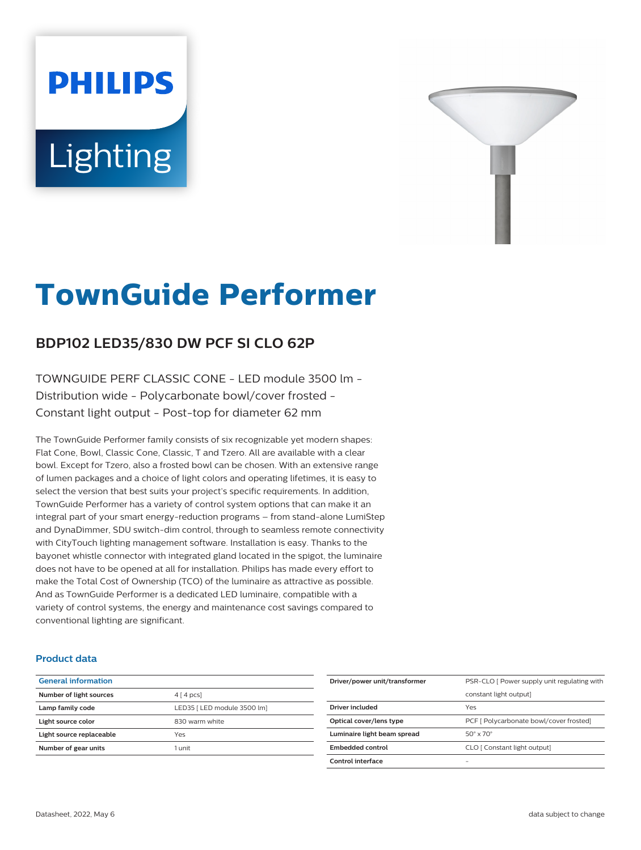# **PHILIPS** Lighting



# **TownGuide Performer**

# **BDP102 LED35/830 DW PCF SI CLO 62P**

TOWNGUIDE PERF CLASSIC CONE - LED module 3500 lm - Distribution wide - Polycarbonate bowl/cover frosted - Constant light output - Post-top for diameter 62 mm

The TownGuide Performer family consists of six recognizable yet modern shapes: Flat Cone, Bowl, Classic Cone, Classic, T and Tzero. All are available with a clear bowl. Except for Tzero, also a frosted bowl can be chosen. With an extensive range of lumen packages and a choice of light colors and operating lifetimes, it is easy to select the version that best suits your project's specific requirements. In addition, TownGuide Performer has a variety of control system options that can make it an integral part of your smart energy-reduction programs – from stand-alone LumiStep and DynaDimmer, SDU switch-dim control, through to seamless remote connectivity with CityTouch lighting management software. Installation is easy. Thanks to the bayonet whistle connector with integrated gland located in the spigot, the luminaire does not have to be opened at all for installation. Philips has made every effort to make the Total Cost of Ownership (TCO) of the luminaire as attractive as possible. And as TownGuide Performer is a dedicated LED luminaire, compatible with a variety of control systems, the energy and maintenance cost savings compared to conventional lighting are significant.

### **Product data**

| <b>General information</b> |                             |
|----------------------------|-----------------------------|
| Number of light sources    | $4 \mid 4 \mid pcs$         |
| Lamp family code           | LED35   LED module 3500 lml |
| Light source color         | 830 warm white              |
| Light source replaceable   | Yes                         |
| Number of gear units       | 1 unit                      |
|                            |                             |

| Driver/power unit/transformer | PSR-CLO [ Power supply unit regulating with |
|-------------------------------|---------------------------------------------|
|                               | constant light output]                      |
| Driver included               | Yes                                         |
| Optical cover/lens type       | PCF [ Polycarbonate bowl/cover frosted]     |
| Luminaire light beam spread   | $50^\circ \times 70^\circ$                  |
| Embedded control              | CLO [ Constant light output]                |
| Control interface             | -                                           |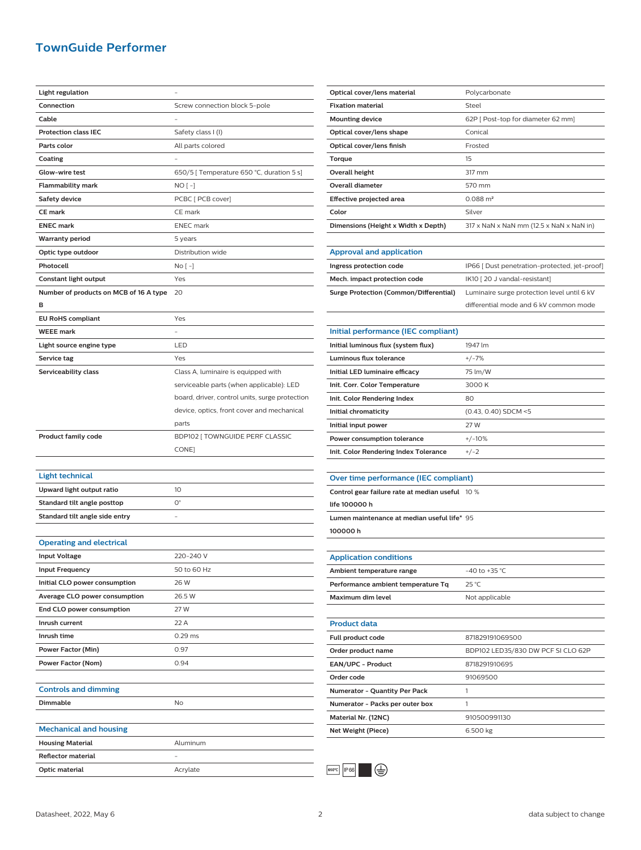## **TownGuide Performer**

| <b>Light regulation</b>                |                                                |
|----------------------------------------|------------------------------------------------|
| Connection                             | Screw connection block 5-pole                  |
| Cable                                  |                                                |
| <b>Protection class IEC</b>            | Safety class I (I)                             |
| Parts color                            | All parts colored                              |
| Coating                                |                                                |
| Glow-wire test                         | 650/5 [ Temperature 650 °C, duration 5 s]      |
| <b>Flammability mark</b>               | NO [ -]                                        |
| <b>Safety device</b>                   | PCBC [ PCB cover]                              |
| <b>CE mark</b>                         | CE mark                                        |
| <b>ENEC mark</b>                       | <b>ENEC</b> mark                               |
| <b>Warranty period</b>                 | 5 years                                        |
| Optic type outdoor                     | Distribution wide                              |
| Photocell                              | No [ -]                                        |
| Constant light output                  | Yes                                            |
| Number of products on MCB of 16 A type | 20                                             |
| в                                      |                                                |
| <b>EU RoHS compliant</b>               | Yes                                            |
| <b>WEEE mark</b>                       |                                                |
| Light source engine type               | LED                                            |
| Service tag                            | Yes                                            |
|                                        |                                                |
| Serviceability class                   | Class A, luminaire is equipped with            |
|                                        | serviceable parts (when applicable): LED       |
|                                        | board, driver, control units, surge protection |
|                                        | device, optics, front cover and mechanical     |
|                                        | parts                                          |
|                                        |                                                |
| <b>Product family code</b>             | BDP102 [ TOWNGUIDE PERF CLASSIC                |
|                                        | CONE]                                          |
|                                        |                                                |
| <b>Light technical</b>                 |                                                |
| Upward light output ratio              | 10                                             |
| Standard tilt angle posttop            | $\mathsf{O}^\circ$                             |
| Standard tilt angle side entry         |                                                |
|                                        |                                                |
| <b>Operating and electrical</b>        |                                                |
| <b>Input Voltage</b>                   | 220-240 V                                      |
| <b>Input Frequency</b>                 | 50 to 60 Hz                                    |
| Initial CLO power consumption          | 26 W                                           |
| Average CLO power consumption          | 26.5 W                                         |
| End CLO power consumption              | 27 W                                           |
| Inrush current                         | 22 A                                           |
| Inrush time                            | $0.29$ ms                                      |
| Power Factor (Min)                     | 0.97                                           |
| Power Factor (Nom)                     | 0.94                                           |
|                                        |                                                |
| <b>Controls and dimming</b>            |                                                |
| Dimmable                               | No                                             |
|                                        |                                                |
| <b>Mechanical and housing</b>          |                                                |
| <b>Housing Material</b>                | Aluminum                                       |
| <b>Reflector material</b>              |                                                |

| Optical cover/lens material         | Polycarbonate                            |
|-------------------------------------|------------------------------------------|
| <b>Fixation material</b>            | Steel                                    |
| <b>Mounting device</b>              | 62P   Post-top for diameter 62 mm]       |
| Optical cover/lens shape            | Conical                                  |
| Optical cover/lens finish           | Frosted                                  |
| Torque                              | 15                                       |
| Overall height                      | 317 mm                                   |
| Overall diameter                    | 570 mm                                   |
| Effective projected area            | $0.088 \text{ m}^2$                      |
| Color                               | Silver                                   |
| Dimensions (Height x Width x Depth) | 317 x NaN x NaN mm (12.5 x NaN x NaN in) |
|                                     |                                          |

#### **Approval and application**

| Ingress protection code                | IP66 [ Dust penetration-protected, jet-proof] |
|----------------------------------------|-----------------------------------------------|
| Mech. impact protection code           | IK10   20 J vandal-resistant]                 |
| Surge Protection (Common/Differential) | Luminaire surge protection level until 6 kV   |
|                                        | differential mode and 6 kV common mode        |

| Initial performance (IEC compliant)   |                        |
|---------------------------------------|------------------------|
| Initial luminous flux (system flux)   | 1947 lm                |
| Luminous flux tolerance               | $+/-7%$                |
| Initial LED luminaire efficacy        | 75 lm/W                |
| Init. Corr. Color Temperature         | 3000 K                 |
| Init. Color Rendering Index           | 80                     |
| Initial chromaticity                  | $(0.43, 0.40)$ SDCM <5 |
| Initial input power                   | 27 W                   |
| Power consumption tolerance           | $+/-10%$               |
| Init. Color Rendering Index Tolerance | $+/-2$                 |
|                                       |                        |

#### **Over time performance (IEC compliant)**

**Control gear failure rate at median useful** 10 %

**life 100000 h**

**Lumen maintenance at median useful life\*** 95

**100000 h**

| <b>Application conditions</b>        |                                    |
|--------------------------------------|------------------------------------|
| Ambient temperature range            | $-40$ to $+35$ °C.                 |
| Performance ambient temperature Tq   | $25^{\circ}$ C                     |
| Maximum dim level                    | Not applicable                     |
|                                      |                                    |
| <b>Product data</b>                  |                                    |
| Full product code                    | 871829191069500                    |
| Order product name                   | BDP102 LED35/830 DW PCF SI CLO 62P |
| <b>EAN/UPC - Product</b>             | 8718291910695                      |
| Order code                           | 91069500                           |
| <b>Numerator - Quantity Per Pack</b> | 1                                  |
| Numerator - Packs per outer box      | 1                                  |
| Material Nr. (12NC)                  | 910500991130                       |
| Net Weight (Piece)                   | 6.500 kg                           |